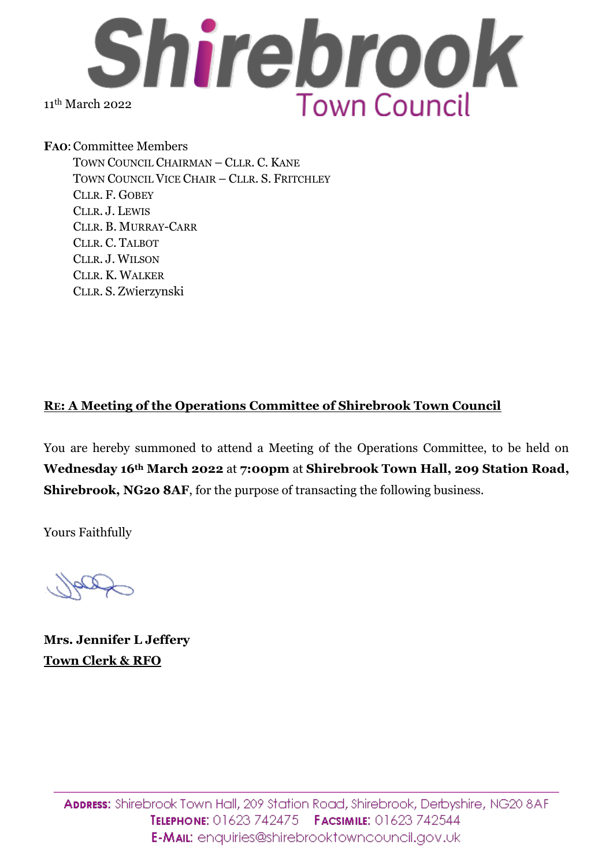

**FAO**:Committee Members TOWN COUNCIL CHAIRMAN – CLLR. C. KANE TOWN COUNCIL VICE CHAIR – CLLR. S. FRITCHLEY CLLR. F. GOBEY CLLR. J. LEWIS CLLR. B. MURRAY-CARR CLLR. C. TALBOT CLLR. J. WILSON CLLR. K. WALKER CLLR. S. ZWierzynski

## **RE: A Meeting of the Operations Committee of Shirebrook Town Council**

You are hereby summoned to attend a Meeting of the Operations Committee, to be held on **Wednesday 16th March 2022** at **7:00pm** at **Shirebrook Town Hall, 209 Station Road, Shirebrook, NG20 8AF**, for the purpose of transacting the following business.

Yours Faithfully

**Mrs. Jennifer L Jeffery Town Clerk & RFO**